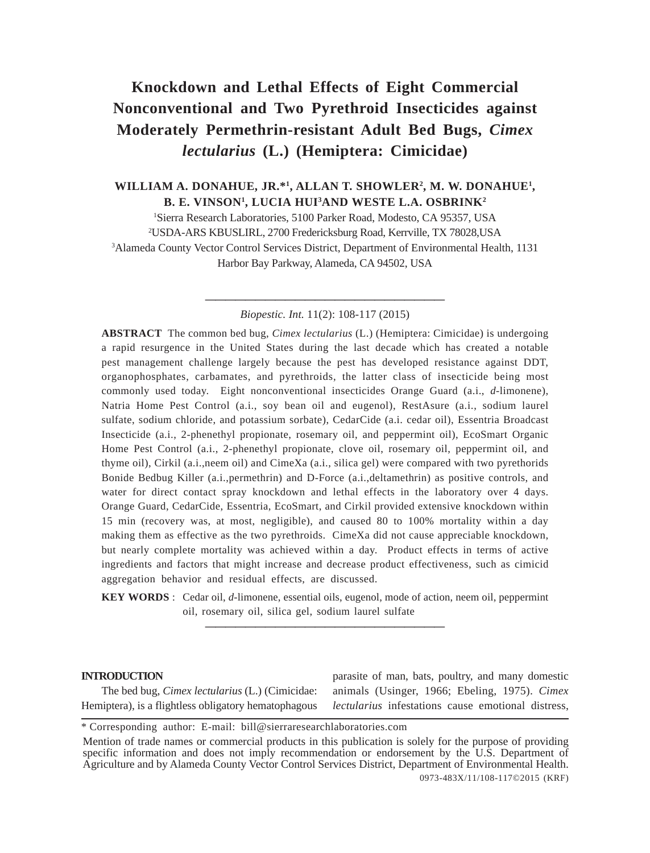# **Knockdown and Lethal Effects of Eight Commercial Nonconventional and Two Pyrethroid Insecticides against Moderately Permethrin-resistant Adult Bed Bugs,** *Cimex lectularius* **(L.) (Hemiptera: Cimicidae)**

**WILLIAM A. DONAHUE, JR.\*1 , ALLAN T. SHOWLER2 , M. W. DONAHUE1 , B. E. VINSON1 , LUCIA HUI3 AND WESTE L.A. OSBRINK2**

 Sierra Research Laboratories, 5100 Parker Road, Modesto, CA 95357, USA USDA-ARS KBUSLIRL, 2700 Fredericksburg Road, Kerrville, TX 78028,USA Alameda County Vector Control Services District, Department of Environmental Health, 1131 Harbor Bay Parkway, Alameda, CA 94502, USA

> **————————————————————————** *Biopestic. Int.* 11(2): 108-117 (2015)

**ABSTRACT** The common bed bug, *Cimex lectularius* (L.) (Hemiptera: Cimicidae) is undergoing a rapid resurgence in the United States during the last decade which has created a notable pest management challenge largely because the pest has developed resistance against DDT, organophosphates, carbamates, and pyrethroids, the latter class of insecticide being most commonly used today. Eight nonconventional insecticides Orange Guard (a.i., *d*-limonene), Natria Home Pest Control (a.i., soy bean oil and eugenol), RestAsure (a.i., sodium laurel sulfate, sodium chloride, and potassium sorbate), CedarCide (a.i. cedar oil), Essentria Broadcast Insecticide (a.i., 2-phenethyl propionate, rosemary oil, and peppermint oil), EcoSmart Organic Home Pest Control (a.i., 2-phenethyl propionate, clove oil, rosemary oil, peppermint oil, and thyme oil), Cirkil (a.i.,neem oil) and CimeXa (a.i., silica gel) were compared with two pyrethorids Bonide Bedbug Killer (a.i.,permethrin) and D-Force (a.i.,deltamethrin) as positive controls, and water for direct contact spray knockdown and lethal effects in the laboratory over 4 days. Orange Guard, CedarCide, Essentria, EcoSmart, and Cirkil provided extensive knockdown within 15 min (recovery was, at most, negligible), and caused 80 to 100% mortality within a day making them as effective as the two pyrethroids. CimeXa did not cause appreciable knockdown, but nearly complete mortality was achieved within a day. Product effects in terms of active ingredients and factors that might increase and decrease product effectiveness, such as cimicid aggregation behavior and residual effects, are discussed.

**KEY WORDS** : Cedar oil, *d*-limonene, essential oils, eugenol, mode of action, neem oil, peppermint oil, rosemary oil, silica gel, sodium laurel sulfate **————————————————————————**

#### **INTRODUCTION**

The bed bug, *Cimex lectularius* (L.) (Cimicidae: Hemiptera), is a flightless obligatory hematophagous

parasite of man, bats, poultry, and many domestic animals (Usinger, 1966; Ebeling, 1975). *Cimex lectularius* infestations cause emotional distress,

<sup>\*</sup> Corresponding author: E-mail: bill@sierraresearchlaboratories.com

<sup>0973-483</sup>X/11/108-117©2015 (KRF) Mention of trade names or commercial products in this publication is solely for the purpose of providing specific information and does not imply recommendation or endorsement by the U.S. Department of Agriculture and by Alameda County Vector Control Services District, Department of Environmental Health.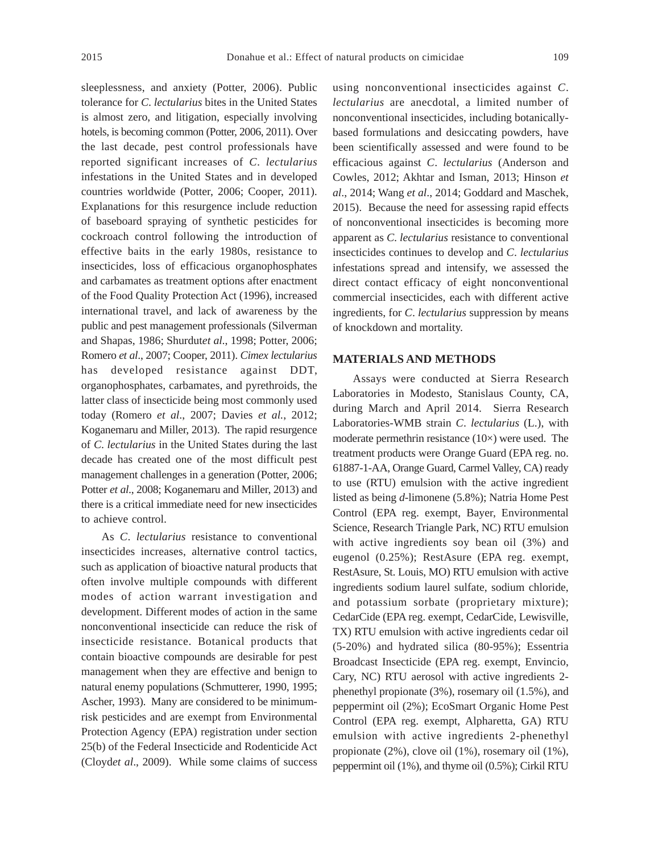sleeplessness, and anxiety (Potter, 2006). Public tolerance for *C*. *lectularius* bites in the United States is almost zero, and litigation, especially involving hotels, is becoming common (Potter, 2006, 2011). Over the last decade, pest control professionals have reported significant increases of *C*. *lectularius* infestations in the United States and in developed countries worldwide (Potter, 2006; Cooper, 2011). Explanations for this resurgence include reduction of baseboard spraying of synthetic pesticides for cockroach control following the introduction of effective baits in the early 1980s, resistance to insecticides, loss of efficacious organophosphates and carbamates as treatment options after enactment of the Food Quality Protection Act (1996), increased international travel, and lack of awareness by the public and pest management professionals (Silverman and Shapas, 1986; Shurdut*et al*., 1998; Potter, 2006; Romero *et al*., 2007; Cooper, 2011). *Cimex lectularius* has developed resistance against DDT, organophosphates, carbamates, and pyrethroids, the latter class of insecticide being most commonly used today (Romero *et al*., 2007; Davies *et al.*, 2012; Koganemaru and Miller, 2013). The rapid resurgence of *C*. *lectularius* in the United States during the last decade has created one of the most difficult pest management challenges in a generation (Potter, 2006; Potter *et al*., 2008; Koganemaru and Miller, 2013) and there is a critical immediate need for new insecticides to achieve control.

As *C*. *lectularius* resistance to conventional insecticides increases, alternative control tactics, such as application of bioactive natural products that often involve multiple compounds with different modes of action warrant investigation and development. Different modes of action in the same nonconventional insecticide can reduce the risk of insecticide resistance. Botanical products that contain bioactive compounds are desirable for pest management when they are effective and benign to natural enemy populations (Schmutterer, 1990, 1995; Ascher, 1993). Many are considered to be minimumrisk pesticides and are exempt from Environmental Protection Agency (EPA) registration under section 25(b) of the Federal Insecticide and Rodenticide Act (Cloyd*et al*., 2009). While some claims of success using nonconventional insecticides against *C*. *lectularius* are anecdotal, a limited number of nonconventional insecticides, including botanicallybased formulations and desiccating powders, have been scientifically assessed and were found to be efficacious against *C*. *lectularius* (Anderson and Cowles, 2012; Akhtar and Isman, 2013; Hinson *et al*., 2014; Wang *et al*., 2014; Goddard and Maschek, 2015). Because the need for assessing rapid effects of nonconventional insecticides is becoming more apparent as *C*. *lectularius* resistance to conventional insecticides continues to develop and *C*. *lectularius* infestations spread and intensify, we assessed the direct contact efficacy of eight nonconventional commercial insecticides, each with different active ingredients, for *C*. *lectularius* suppression by means of knockdown and mortality.

## **MATERIALS AND METHODS**

Assays were conducted at Sierra Research Laboratories in Modesto, Stanislaus County, CA, during March and April 2014. Sierra Research Laboratories-WMB strain *C*. *lectularius* (L.), with moderate permethrin resistance (10×) were used. The treatment products were Orange Guard (EPA reg. no. 61887-1-AA, Orange Guard, Carmel Valley, CA) ready to use (RTU) emulsion with the active ingredient listed as being *d*-limonene (5.8%); Natria Home Pest Control (EPA reg. exempt, Bayer, Environmental Science, Research Triangle Park, NC) RTU emulsion with active ingredients soy bean oil (3%) and eugenol (0.25%); RestAsure (EPA reg. exempt, RestAsure, St. Louis, MO) RTU emulsion with active ingredients sodium laurel sulfate, sodium chloride, and potassium sorbate (proprietary mixture); CedarCide (EPA reg. exempt, CedarCide, Lewisville, TX) RTU emulsion with active ingredients cedar oil (5-20%) and hydrated silica (80-95%); Essentria Broadcast Insecticide (EPA reg. exempt, Envincio, Cary, NC) RTU aerosol with active ingredients 2 phenethyl propionate (3%), rosemary oil (1.5%), and peppermint oil (2%); EcoSmart Organic Home Pest Control (EPA reg. exempt, Alpharetta, GA) RTU emulsion with active ingredients 2-phenethyl propionate (2%), clove oil (1%), rosemary oil (1%), peppermint oil (1%), and thyme oil (0.5%); Cirkil RTU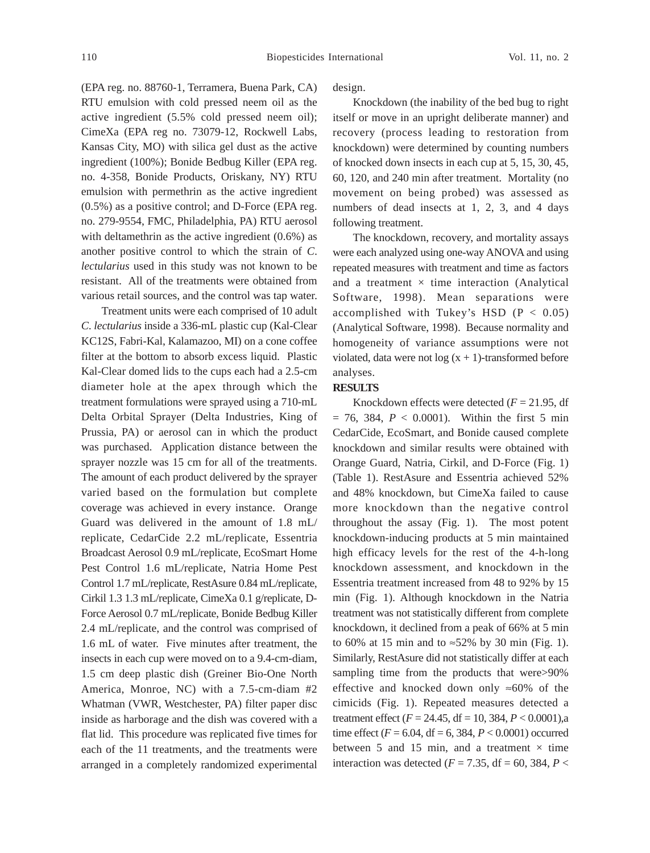(EPA reg. no. 88760-1, Terramera, Buena Park, CA) RTU emulsion with cold pressed neem oil as the active ingredient (5.5% cold pressed neem oil); CimeXa (EPA reg no. 73079-12, Rockwell Labs, Kansas City, MO) with silica gel dust as the active ingredient (100%); Bonide Bedbug Killer (EPA reg. no. 4-358, Bonide Products, Oriskany, NY) RTU emulsion with permethrin as the active ingredient (0.5%) as a positive control; and D-Force (EPA reg. no. 279-9554, FMC, Philadelphia, PA) RTU aerosol with deltamethrin as the active ingredient (0.6%) as another positive control to which the strain of *C*. *lectularius* used in this study was not known to be resistant. All of the treatments were obtained from various retail sources, and the control was tap water.

Treatment units were each comprised of 10 adult *C*. *lectularius* inside a 336-mL plastic cup (Kal-Clear KC12S, Fabri-Kal, Kalamazoo, MI) on a cone coffee filter at the bottom to absorb excess liquid. Plastic Kal-Clear domed lids to the cups each had a 2.5-cm diameter hole at the apex through which the treatment formulations were sprayed using a 710-mL Delta Orbital Sprayer (Delta Industries, King of Prussia, PA) or aerosol can in which the product was purchased. Application distance between the sprayer nozzle was 15 cm for all of the treatments. The amount of each product delivered by the sprayer varied based on the formulation but complete coverage was achieved in every instance. Orange Guard was delivered in the amount of 1.8 mL/ replicate, CedarCide 2.2 mL/replicate, Essentria Broadcast Aerosol 0.9 mL/replicate, EcoSmart Home Pest Control 1.6 mL/replicate, Natria Home Pest Control 1.7 mL/replicate, RestAsure 0.84 mL/replicate, Cirkil 1.3 1.3 mL/replicate, CimeXa 0.1 g/replicate, D-Force Aerosol 0.7 mL/replicate, Bonide Bedbug Killer 2.4 mL/replicate, and the control was comprised of 1.6 mL of water. Five minutes after treatment, the insects in each cup were moved on to a 9.4-cm-diam, 1.5 cm deep plastic dish (Greiner Bio-One North America, Monroe, NC) with a 7.5-cm-diam #2 Whatman (VWR, Westchester, PA) filter paper disc inside as harborage and the dish was covered with a flat lid. This procedure was replicated five times for each of the 11 treatments, and the treatments were arranged in a completely randomized experimental design.

Knockdown (the inability of the bed bug to right itself or move in an upright deliberate manner) and recovery (process leading to restoration from knockdown) were determined by counting numbers of knocked down insects in each cup at 5, 15, 30, 45, 60, 120, and 240 min after treatment. Mortality (no movement on being probed) was assessed as numbers of dead insects at 1, 2, 3, and 4 days following treatment.

The knockdown, recovery, and mortality assays were each analyzed using one-way ANOVA and using repeated measures with treatment and time as factors and a treatment  $\times$  time interaction (Analytical Software, 1998). Mean separations were accomplished with Tukey's HSD  $(P < 0.05)$ (Analytical Software, 1998). Because normality and homogeneity of variance assumptions were not violated, data were not  $log(x + 1)$ -transformed before analyses.

### **RESULTS**

Knockdown effects were detected  $(F = 21.95, df)$  $= 76, 384, P < 0.0001$ . Within the first 5 min CedarCide, EcoSmart, and Bonide caused complete knockdown and similar results were obtained with Orange Guard, Natria, Cirkil, and D-Force (Fig. 1) (Table 1). RestAsure and Essentria achieved 52% and 48% knockdown, but CimeXa failed to cause more knockdown than the negative control throughout the assay (Fig. 1). The most potent knockdown-inducing products at 5 min maintained high efficacy levels for the rest of the 4-h-long knockdown assessment, and knockdown in the Essentria treatment increased from 48 to 92% by 15 min (Fig. 1). Although knockdown in the Natria treatment was not statistically different from complete knockdown, it declined from a peak of 66% at 5 min to 60% at 15 min and to ≈52% by 30 min (Fig. 1). Similarly, RestAsure did not statistically differ at each sampling time from the products that were > 90% effective and knocked down only ≈60% of the cimicids (Fig. 1). Repeated measures detected a treatment effect (*F* = 24.45, df = 10, 384, *P* < 0.0001),a time effect ( $F = 6.04$ , df = 6, 384,  $P < 0.0001$ ) occurred between 5 and 15 min, and a treatment  $\times$  time interaction was detected ( $F = 7.35$ , df = 60, 384,  $P <$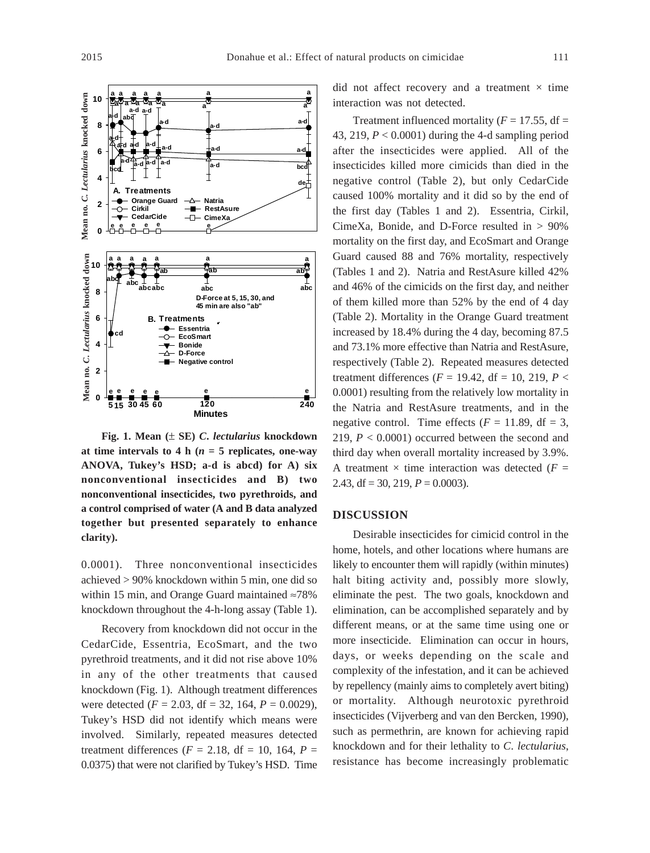

**Fig. 1. Mean (**± **SE)** *C***.** *lectularius* **knockdown** at time intervals to 4 h ( $n = 5$  replicates, one-way **ANOVA, Tukey's HSD; a-d is abcd) for A) six nonconventional insecticides and B) two nonconventional insecticides, two pyrethroids, and a control comprised of water (A and B data analyzed together but presented separately to enhance clarity).**

0.0001). Three nonconventional insecticides achieved > 90% knockdown within 5 min, one did so within 15 min, and Orange Guard maintained ≈78% knockdown throughout the 4-h-long assay (Table 1).

Recovery from knockdown did not occur in the CedarCide, Essentria, EcoSmart, and the two pyrethroid treatments, and it did not rise above 10% in any of the other treatments that caused knockdown (Fig. 1). Although treatment differences were detected (*F* = 2.03, df = 32, 164, *P* = 0.0029), Tukey's HSD did not identify which means were involved. Similarly, repeated measures detected treatment differences ( $F = 2.18$ , df = 10, 164,  $P =$ 0.0375) that were not clarified by Tukey's HSD. Time did not affect recovery and a treatment  $\times$  time interaction was not detected.

Treatment influenced mortality ( $F = 17.55$ , df = 43, 219, *P* < 0.0001) during the 4-d sampling period after the insecticides were applied. All of the insecticides killed more cimicids than died in the negative control (Table 2), but only CedarCide caused 100% mortality and it did so by the end of the first day (Tables 1 and 2). Essentria, Cirkil, CimeXa, Bonide, and D-Force resulted in > 90% mortality on the first day, and EcoSmart and Orange Guard caused 88 and 76% mortality, respectively (Tables 1 and 2). Natria and RestAsure killed 42% and 46% of the cimicids on the first day, and neither of them killed more than 52% by the end of 4 day (Table 2). Mortality in the Orange Guard treatment increased by 18.4% during the 4 day, becoming 87.5 and 73.1% more effective than Natria and RestAsure, respectively (Table 2). Repeated measures detected treatment differences ( $F = 19.42$ , df = 10, 219,  $P <$ 0.0001) resulting from the relatively low mortality in the Natria and RestAsure treatments, and in the negative control. Time effects  $(F = 11.89, df = 3,$ 219, *P* < 0.0001) occurred between the second and third day when overall mortality increased by 3.9%. A treatment  $\times$  time interaction was detected ( $F =$ 2.43, df = 30, 219,  $P = 0.0003$ ).

#### **DISCUSSION**

Desirable insecticides for cimicid control in the home, hotels, and other locations where humans are likely to encounter them will rapidly (within minutes) halt biting activity and, possibly more slowly, eliminate the pest. The two goals, knockdown and elimination, can be accomplished separately and by different means, or at the same time using one or more insecticide. Elimination can occur in hours, days, or weeks depending on the scale and complexity of the infestation, and it can be achieved by repellency (mainly aims to completely avert biting) or mortality. Although neurotoxic pyrethroid insecticides (Vijverberg and van den Bercken, 1990), such as permethrin, are known for achieving rapid knockdown and for their lethality to *C*. *lectularius*, resistance has become increasingly problematic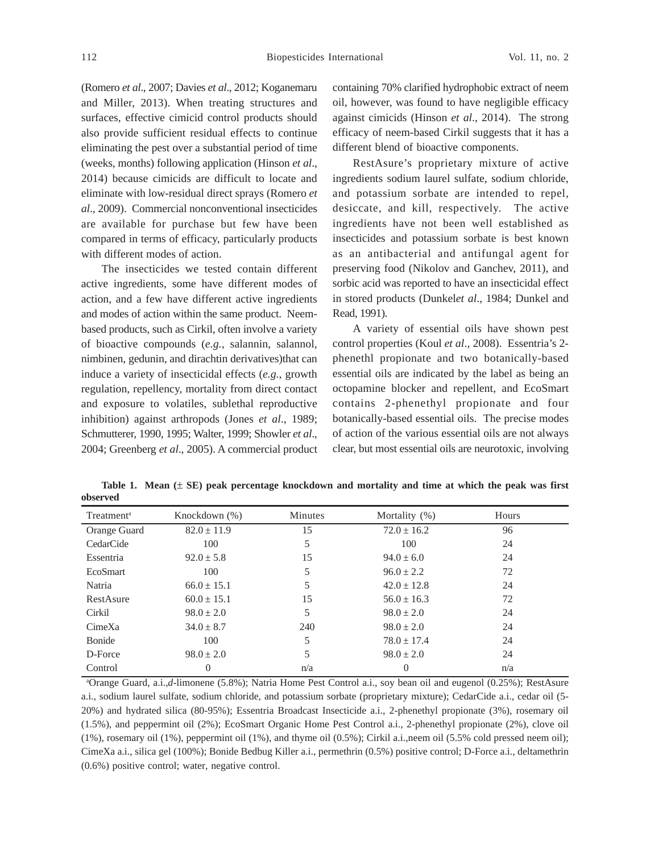(Romero *et al*., 2007; Davies *et al*., 2012; Koganemaru and Miller, 2013). When treating structures and surfaces, effective cimicid control products should also provide sufficient residual effects to continue eliminating the pest over a substantial period of time (weeks, months) following application (Hinson *et al*., 2014) because cimicids are difficult to locate and eliminate with low-residual direct sprays (Romero *et al*., 2009). Commercial nonconventional insecticides are available for purchase but few have been compared in terms of efficacy, particularly products with different modes of action.

The insecticides we tested contain different active ingredients, some have different modes of action, and a few have different active ingredients and modes of action within the same product. Neembased products, such as Cirkil, often involve a variety of bioactive compounds (*e.g.*, salannin, salannol, nimbinen, gedunin, and dirachtin derivatives)that can induce a variety of insecticidal effects (*e.g.*, growth regulation, repellency, mortality from direct contact and exposure to volatiles, sublethal reproductive inhibition) against arthropods (Jones *et al*., 1989; Schmutterer, 1990, 1995; Walter, 1999; Showler *et al*., 2004; Greenberg *et al*., 2005). A commercial product containing 70% clarified hydrophobic extract of neem oil, however, was found to have negligible efficacy against cimicids (Hinson *et al*., 2014). The strong efficacy of neem-based Cirkil suggests that it has a different blend of bioactive components.

RestAsure's proprietary mixture of active ingredients sodium laurel sulfate, sodium chloride, and potassium sorbate are intended to repel, desiccate, and kill, respectively. The active ingredients have not been well established as insecticides and potassium sorbate is best known as an antibacterial and antifungal agent for preserving food (Nikolov and Ganchev, 2011), and sorbic acid was reported to have an insecticidal effect in stored products (Dunkel*et al*., 1984; Dunkel and Read, 1991).

A variety of essential oils have shown pest control properties (Koul *et al*., 2008). Essentria's 2 phenethl propionate and two botanically-based essential oils are indicated by the label as being an octopamine blocker and repellent, and EcoSmart contains 2-phenethyl propionate and four botanically-based essential oils. The precise modes of action of the various essential oils are not always clear, but most essential oils are neurotoxic, involving

| ,,,,,,,,,,,,           |                 |         |                  |       |  |
|------------------------|-----------------|---------|------------------|-------|--|
| Treatment <sup>a</sup> | Knockdown (%)   | Minutes | Mortality $(\%)$ | Hours |  |
| Orange Guard           | $82.0 \pm 11.9$ | 15      | $72.0 \pm 16.2$  | 96    |  |
| CedarCide              | 100             | 5       | 100              | 24    |  |
| Essentria              | $92.0 \pm 5.8$  | 15      | $94.0 \pm 6.0$   | 24    |  |
| <b>EcoSmart</b>        | 100             | 5       | $96.0 + 2.2$     | 72    |  |
| Natria                 | $66.0 \pm 15.1$ | 5       | $42.0 + 12.8$    | 24    |  |
| RestAsure              | $60.0 \pm 15.1$ | 15      | $56.0 + 16.3$    | 72    |  |
| Cirkil                 | $98.0 \pm 2.0$  | 5       | $98.0 \pm 2.0$   | 24    |  |
| CimeXa                 | $34.0 \pm 8.7$  | 240     | $98.0 \pm 2.0$   | 24    |  |
| Bonide                 | 100             | 5       | $78.0 + 17.4$    | 24    |  |
| D-Force                | $98.0 + 2.0$    | 5       | $98.0 \pm 2.0$   | 24    |  |
|                        |                 |         |                  |       |  |

**Table 1. Mean (**± **SE) peak percentage knockdown and mortality and time at which the peak was first observed**

a Orange Guard, a.i.,*d*-limonene (5.8%); Natria Home Pest Control a.i., soy bean oil and eugenol (0.25%); RestAsure a.i., sodium laurel sulfate, sodium chloride, and potassium sorbate (proprietary mixture); CedarCide a.i., cedar oil (5- 20%) and hydrated silica (80-95%); Essentria Broadcast Insecticide a.i., 2-phenethyl propionate (3%), rosemary oil (1.5%), and peppermint oil (2%); EcoSmart Organic Home Pest Control a.i., 2-phenethyl propionate (2%), clove oil (1%), rosemary oil (1%), peppermint oil (1%), and thyme oil (0.5%); Cirkil a.i.,neem oil (5.5% cold pressed neem oil); CimeXa a.i., silica gel (100%); Bonide Bedbug Killer a.i., permethrin (0.5%) positive control; D-Force a.i., deltamethrin (0.6%) positive control; water, negative control.

Control 0  $n/a$  0  $n/a$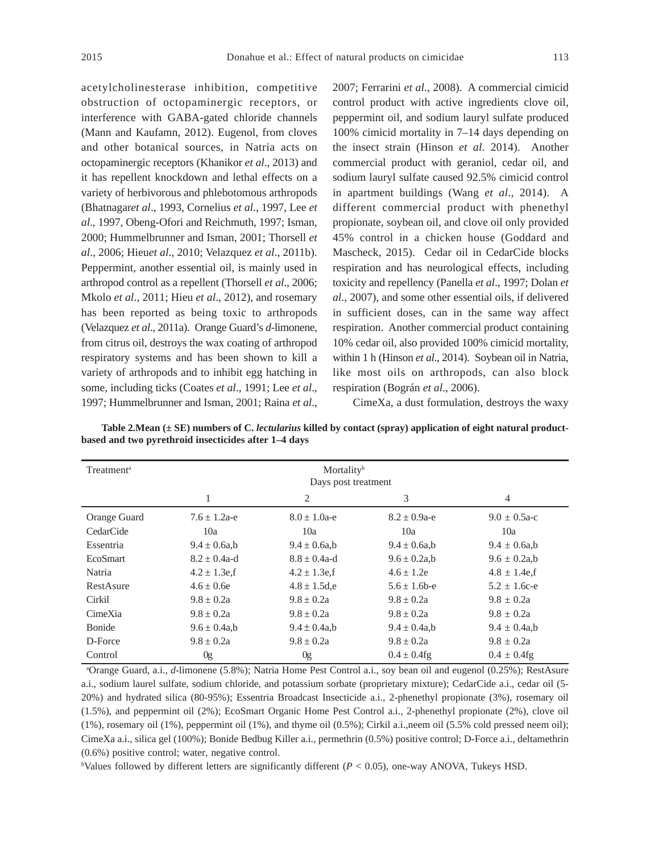acetylcholinesterase inhibition, competitive obstruction of octopaminergic receptors, or interference with GABA-gated chloride channels (Mann and Kaufamn, 2012). Eugenol, from cloves and other botanical sources, in Natria acts on octopaminergic receptors (Khanikor *et al*., 2013) and it has repellent knockdown and lethal effects on a variety of herbivorous and phlebotomous arthropods (Bhatnagar*et al*., 1993, Cornelius *et al*., 1997, Lee *et al*., 1997, Obeng-Ofori and Reichmuth, 1997; Isman, 2000; Hummelbrunner and Isman, 2001; Thorsell *et al*., 2006; Hieu*et al*., 2010; Velazquez *et al*., 2011b). Peppermint, another essential oil, is mainly used in arthropod control as a repellent (Thorsell *et al*., 2006; Mkolo *et al*., 2011; Hieu *et al*., 2012), and rosemary has been reported as being toxic to arthropods (Velazquez *et al*., 2011a). Orange Guard's *d*-limonene, from citrus oil, destroys the wax coating of arthropod respiratory systems and has been shown to kill a variety of arthropods and to inhibit egg hatching in some, including ticks (Coates *et al*., 1991; Lee *et al*., 1997; Hummelbrunner and Isman, 2001; Raina *et al*., 2007; Ferrarini *et al*., 2008). A commercial cimicid control product with active ingredients clove oil, peppermint oil, and sodium lauryl sulfate produced 100% cimicid mortality in 7–14 days depending on the insect strain (Hinson *et al*. 2014). Another commercial product with geraniol, cedar oil, and sodium lauryl sulfate caused 92.5% cimicid control in apartment buildings (Wang *et al*., 2014). A different commercial product with phenethyl propionate, soybean oil, and clove oil only provided 45% control in a chicken house (Goddard and Mascheck, 2015). Cedar oil in CedarCide blocks respiration and has neurological effects, including toxicity and repellency (Panella *et al*., 1997; Dolan *et al*., 2007), and some other essential oils, if delivered in sufficient doses, can in the same way affect respiration. Another commercial product containing 10% cedar oil, also provided 100% cimicid mortality, within 1 h (Hinson *et al*., 2014). Soybean oil in Natria, like most oils on arthropods, can also block respiration (Bográn *et al*., 2006).

CimeXa, a dust formulation, destroys the waxy

| Treatment <sup>a</sup> | Mortality <sup>b</sup><br>Days post treatment |                   |                    |                    |  |  |  |
|------------------------|-----------------------------------------------|-------------------|--------------------|--------------------|--|--|--|
|                        | 1                                             | 2                 | 3                  | 4                  |  |  |  |
| Orange Guard           | $7.6 + 1.2a-e$                                | $8.0 + 1.0a - e$  | $8.2 \pm 0.9$ a-e  | $9.0 + 0.5a-c$     |  |  |  |
| CedarCide              | 10a                                           | 10a               | 10a                | 10a                |  |  |  |
| Essentria              | $9.4 \pm 0.6$ a,b                             | $9.4 \pm 0.6$ a,b | $9.4 \pm 0.6$ a,b  | $9.4 \pm 0.6$ a,b  |  |  |  |
| EcoSmart               | $8.2 + 0.4a-d$                                | $8.8 + 0.4a-d$    | $9.6 \pm 0.2a$ , b | $9.6 \pm 0.2$ a,b  |  |  |  |
| Natria                 | $4.2 \pm 1.3$ e,f                             | $4.2 \pm 1.3$ e,f | $4.6 + 1.2e$       | $4.8 \pm 1.4$ e, f |  |  |  |
| RestAsure              | $4.6 + 0.6e$                                  | $4.8 \pm 1.5$ d,e | $5.6 + 1.6$ b-e    | $5.2 + 1.6c - e$   |  |  |  |
| Cirkil                 | $9.8 + 0.2a$                                  | $9.8 + 0.2a$      | $9.8 + 0.2a$       | $9.8 + 0.2a$       |  |  |  |
| CimeXia                | $9.8 \pm 0.2a$                                | $9.8 + 0.2a$      | $9.8 + 0.2a$       | $9.8 + 0.2a$       |  |  |  |
| Bonide                 | $9.6 \pm 0.4a$ ,b                             | $9.4 \pm 0.4a,b$  | $9.4 \pm 0.4a$ , b | $9.4 \pm 0.4a$ , b |  |  |  |
| D-Force                | $9.8 + 0.2a$                                  | $9.8 + 0.2a$      | $9.8 \pm 0.2a$     | $9.8 \pm 0.2a$     |  |  |  |
| Control                | 0g                                            | 0g                | $0.4 \pm 0.4$ fg   | $0.4 \pm 0.4$ fg   |  |  |  |

**Table 2.Mean (± SE) numbers of C.** *lectularius* **killed by contact (spray) application of eight natural productbased and two pyrethroid insecticides after 1–4 days**

a Orange Guard, a.i., *d*-limonene (5.8%); Natria Home Pest Control a.i., soy bean oil and eugenol (0.25%); RestAsure a.i., sodium laurel sulfate, sodium chloride, and potassium sorbate (proprietary mixture); CedarCide a.i., cedar oil (5- 20%) and hydrated silica (80-95%); Essentria Broadcast Insecticide a.i., 2-phenethyl propionate (3%), rosemary oil (1.5%), and peppermint oil (2%); EcoSmart Organic Home Pest Control a.i., 2-phenethyl propionate (2%), clove oil (1%), rosemary oil (1%), peppermint oil (1%), and thyme oil (0.5%); Cirkil a.i.,neem oil (5.5% cold pressed neem oil); CimeXa a.i., silica gel (100%); Bonide Bedbug Killer a.i., permethrin (0.5%) positive control; D-Force a.i., deltamethrin (0.6%) positive control; water, negative control.

b Values followed by different letters are significantly different (*P* < 0.05), one-way ANOVA, Tukeys HSD.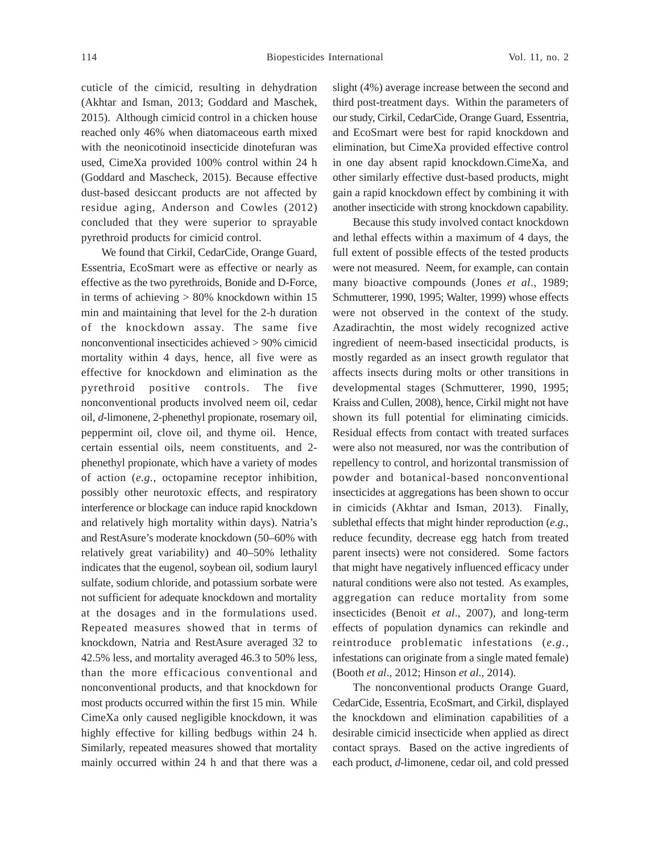cuticle of the cimicid, resulting in dehydration (Akhtar and Isman, 2013; Goddard and Maschek, 2015). Although cimicid control in a chicken house reached only 46% when diatomaceous earth mixed with the neonicotinoid insecticide dinotefuran was used, CimeXa provided 100% control within 24 h (Goddard and Mascheck, 2015). Because effective dust-based desiccant products are not affected by residue aging, Anderson and Cowles (2012) concluded that they were superior to sprayable pyrethroid products for cimicid control.

We found that Cirkil, CedarCide, Orange Guard, Essentria, EcoSmart were as effective or nearly as effective as the two pyrethroids, Bonide and D-Force, in terms of achieving  $> 80\%$  knockdown within 15 min and maintaining that level for the 2-h duration of the knockdown assay. The same five nonconventional insecticides achieved > 90% cimicid mortality within 4 days, hence, all five were as effective for knockdown and elimination as the pyrethroid positive controls. The five nonconventional products involved neem oil, cedar oil, *d*-limonene, 2-phenethyl propionate, rosemary oil, peppermint oil, clove oil, and thyme oil. Hence, certain essential oils, neem constituents, and 2 phenethyl propionate, which have a variety of modes of action (*e.g.*, octopamine receptor inhibition, possibly other neurotoxic effects, and respiratory interference or blockage can induce rapid knockdown and relatively high mortality within days). Natria's and RestAsure's moderate knockdown (50–60% with relatively great variability) and 40–50% lethality indicates that the eugenol, soybean oil, sodium lauryl sulfate, sodium chloride, and potassium sorbate were not sufficient for adequate knockdown and mortality at the dosages and in the formulations used. Repeated measures showed that in terms of knockdown, Natria and RestAsure averaged 32 to 42.5% less, and mortality averaged 46.3 to 50% less, than the more efficacious conventional and nonconventional products, and that knockdown for most products occurred within the first 15 min. While CimeXa only caused negligible knockdown, it was highly effective for killing bedbugs within 24 h. Similarly, repeated measures showed that mortality mainly occurred within 24 h and that there was a slight (4%) average increase between the second and third post-treatment days. Within the parameters of our study, Cirkil, CedarCide, Orange Guard, Essentria, and EcoSmart were best for rapid knockdown and elimination, but CimeXa provided effective control in one day absent rapid knockdown.CimeXa, and other similarly effective dust-based products, might gain a rapid knockdown effect by combining it with another insecticide with strong knockdown capability.

Because this study involved contact knockdown and lethal effects within a maximum of 4 days, the full extent of possible effects of the tested products were not measured. Neem, for example, can contain many bioactive compounds (Jones *et al*., 1989; Schmutterer, 1990, 1995; Walter, 1999) whose effects were not observed in the context of the study. Azadirachtin, the most widely recognized active ingredient of neem-based insecticidal products, is mostly regarded as an insect growth regulator that affects insects during molts or other transitions in developmental stages (Schmutterer, 1990, 1995; Kraiss and Cullen, 2008), hence, Cirkil might not have shown its full potential for eliminating cimicids. Residual effects from contact with treated surfaces were also not measured, nor was the contribution of repellency to control, and horizontal transmission of powder and botanical-based nonconventional insecticides at aggregations has been shown to occur in cimicids (Akhtar and Isman, 2013). Finally, sublethal effects that might hinder reproduction (*e.g.*, reduce fecundity, decrease egg hatch from treated parent insects) were not considered. Some factors that might have negatively influenced efficacy under natural conditions were also not tested. As examples, aggregation can reduce mortality from some insecticides (Benoit *et al*., 2007), and long-term effects of population dynamics can rekindle and reintroduce problematic infestations (*e.g.*, infestations can originate from a single mated female) (Booth *et al*., 2012; Hinson *et al*., 2014).

The nonconventional products Orange Guard, CedarCide, Essentria, EcoSmart, and Cirkil, displayed the knockdown and elimination capabilities of a desirable cimicid insecticide when applied as direct contact sprays. Based on the active ingredients of each product, *d*-limonene, cedar oil, and cold pressed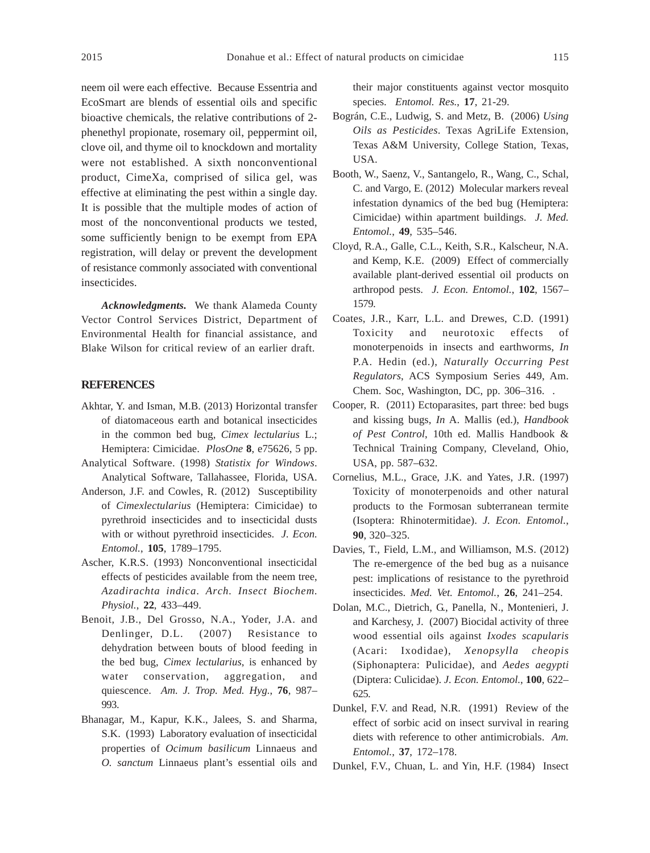neem oil were each effective. Because Essentria and EcoSmart are blends of essential oils and specific bioactive chemicals, the relative contributions of 2 phenethyl propionate, rosemary oil, peppermint oil, clove oil, and thyme oil to knockdown and mortality were not established. A sixth nonconventional product, CimeXa, comprised of silica gel, was effective at eliminating the pest within a single day. It is possible that the multiple modes of action of most of the nonconventional products we tested, some sufficiently benign to be exempt from EPA registration, will delay or prevent the development of resistance commonly associated with conventional insecticides.

*Acknowledgments.* We thank Alameda County Vector Control Services District, Department of Environmental Health for financial assistance, and Blake Wilson for critical review of an earlier draft.

#### **REFERENCES**

- Akhtar, Y. and Isman, M.B. (2013) Horizontal transfer of diatomaceous earth and botanical insecticides in the common bed bug, *Cimex lectularius* L.; Hemiptera: Cimicidae. *PlosOne* **8**, e75626, 5 pp.
- Analytical Software. (1998) *Statistix for Windows*. Analytical Software, Tallahassee, Florida, USA.
- Anderson, J.F. and Cowles, R. (2012) Susceptibility of *Cimexlectularius* (Hemiptera: Cimicidae) to pyrethroid insecticides and to insecticidal dusts with or without pyrethroid insecticides. *J. Econ. Entomol.*, **105**, 1789–1795.
- Ascher, K.R.S. (1993) Nonconventional insecticidal effects of pesticides available from the neem tree, *Azadirachta indica*. *Arch. Insect Biochem. Physiol.*, **22**, 433–449.
- Benoit, J.B., Del Grosso, N.A., Yoder, J.A. and Denlinger, D.L. (2007) Resistance to dehydration between bouts of blood feeding in the bed bug, *Cimex lectularius*, is enhanced by water conservation, aggregation, and quiescence. *Am. J. Trop. Med. Hyg.*, **76**, 987– 993.
- Bhanagar, M., Kapur, K.K., Jalees, S. and Sharma, S.K. (1993) Laboratory evaluation of insecticidal properties of *Ocimum basilicum* Linnaeus and *O. sanctum* Linnaeus plant's essential oils and

their major constituents against vector mosquito species. *Entomol. Res.*, **17**, 21-29.

- Bográn, C.E., Ludwig, S. and Metz, B. (2006) *Using Oils as Pesticides*. Texas AgriLife Extension, Texas A&M University, College Station, Texas, USA.
- Booth, W., Saenz, V., Santangelo, R., Wang, C., Schal, C. and Vargo, E. (2012) Molecular markers reveal infestation dynamics of the bed bug (Hemiptera: Cimicidae) within apartment buildings. *J. Med. Entomol.*, **49**, 535–546.
- Cloyd, R.A., Galle, C.L., Keith, S.R., Kalscheur, N.A. and Kemp, K.E. (2009) Effect of commercially available plant-derived essential oil products on arthropod pests. *J. Econ. Entomol.*, **102**, 1567– 1579.
- Coates, J.R., Karr, L.L. and Drewes, C.D. (1991) Toxicity and neurotoxic effects of monoterpenoids in insects and earthworms, *In* P.A. Hedin (ed.), *Naturally Occurring Pest Regulators*, ACS Symposium Series 449, Am. Chem. Soc, Washington, DC, pp. 306–316. .
- Cooper, R. (2011) Ectoparasites, part three: bed bugs and kissing bugs, *In* A. Mallis (ed.), *Handbook of Pest Control*, 10th ed. Mallis Handbook & Technical Training Company, Cleveland, Ohio, USA, pp. 587–632.
- Cornelius, M.L., Grace, J.K. and Yates, J.R. (1997) Toxicity of monoterpenoids and other natural products to the Formosan subterranean termite (Isoptera: Rhinotermitidae). *J. Econ. Entomol*., **90**, 320–325.
- Davies, T., Field, L.M., and Williamson, M.S. (2012) The re-emergence of the bed bug as a nuisance pest: implications of resistance to the pyrethroid insecticides. *Med. Vet. Entomol.*, **26**, 241–254.
- Dolan, M.C., Dietrich, G., Panella, N., Montenieri, J. and Karchesy, J. (2007) Biocidal activity of three wood essential oils against *Ixodes scapularis* (Acari: Ixodidae), *Xenopsylla cheopis* (Siphonaptera: Pulicidae), and *Aedes aegypti* (Diptera: Culicidae). *J. Econ. Entomol.*, **100**, 622– 625.
- Dunkel, F.V. and Read, N.R. (1991) Review of the effect of sorbic acid on insect survival in rearing diets with reference to other antimicrobials. *Am. Entomol.*, **37**, 172–178.
- Dunkel, F.V., Chuan, L. and Yin, H.F. (1984) Insect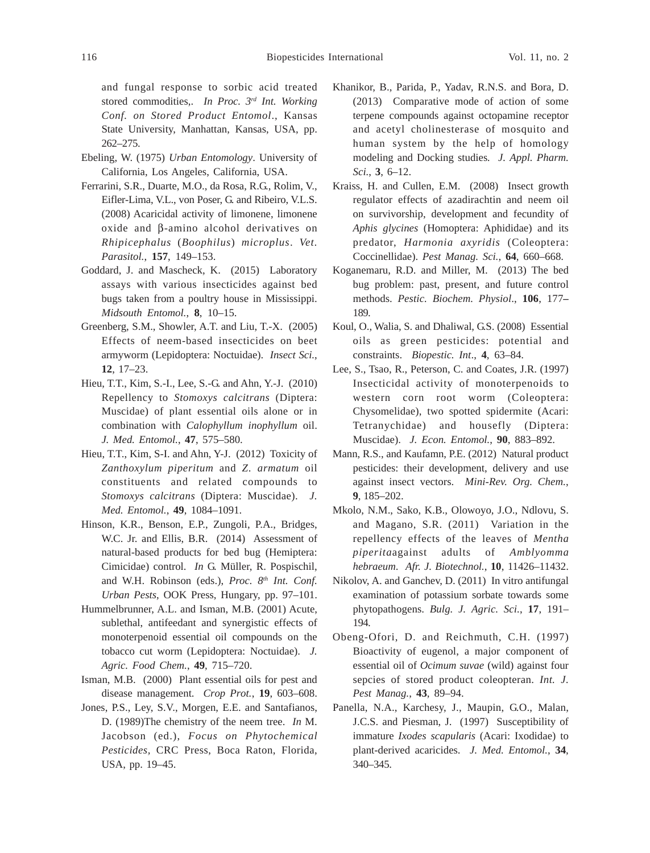- Ebeling, W. (1975) *Urban Entomology*. University of California, Los Angeles, California, USA.
- Ferrarini, S.R., Duarte, M.O., da Rosa, R.G., Rolim, V., Eifler-Lima, V.L., von Poser, G. and Ribeiro, V.L.S. (2008) Acaricidal activity of limonene, limonene oxide and β-amino alcohol derivatives on *Rhipicephalus* (*Boophilus*) *microplus*. *Vet. Parasitol.*, **157**, 149–153.
- Goddard, J. and Mascheck, K. (2015) Laboratory assays with various insecticides against bed bugs taken from a poultry house in Mississippi. *Midsouth Entomol.*, **8**, 10–15.
- Greenberg, S.M., Showler, A.T. and Liu, T.-X. (2005) Effects of neem-based insecticides on beet armyworm (Lepidoptera: Noctuidae). *Insect Sci.*, **12**, 17–23.
- Hieu, T.T., Kim, S.-I., Lee, S.-G. and Ahn, Y.-J. (2010) Repellency to *Stomoxys calcitrans* (Diptera: Muscidae) of plant essential oils alone or in combination with *Calophyllum inophyllum* oil. *J. Med. Entomol.*, **47**, 575–580.
- Hieu, T.T., Kim, S-I. and Ahn, Y-J. (2012) Toxicity of *Zanthoxylum piperitum* and *Z*. *armatum* oil constituents and related compounds to *Stomoxys calcitrans* (Diptera: Muscidae). *J. Med. Entomol.*, **49**, 1084–1091.
- Hinson, K.R., Benson, E.P., Zungoli, P.A., Bridges, W.C. Jr. and Ellis, B.R. (2014) Assessment of natural-based products for bed bug (Hemiptera: Cimicidae) control. *In* G. Müller, R. Pospischil, and W.H. Robinson (eds.), Proc. 8<sup>th</sup> Int. Conf. *Urban Pests*, OOK Press, Hungary, pp. 97–101.
- Hummelbrunner, A.L. and Isman, M.B. (2001) Acute, sublethal, antifeedant and synergistic effects of monoterpenoid essential oil compounds on the tobacco cut worm (Lepidoptera: Noctuidae). *J. Agric. Food Chem.*, **49**, 715–720.
- Isman, M.B. (2000) Plant essential oils for pest and disease management. *Crop Prot.*, **19**, 603–608.
- Jones, P.S., Ley, S.V., Morgen, E.E. and Santafianos, D. (1989)The chemistry of the neem tree. *In* M. Jacobson (ed.), *Focus on Phytochemical Pesticides,* CRC Press, Boca Raton, Florida, USA, pp. 19–45.
- Khanikor, B., Parida, P., Yadav, R.N.S. and Bora, D. (2013) Comparative mode of action of some terpene compounds against octopamine receptor and acetyl cholinesterase of mosquito and human system by the help of homology modeling and Docking studies*. J. Appl. Pharm. Sci.*, **3**, 6–12.
- Kraiss, H. and Cullen, E.M. (2008) Insect growth regulator effects of azadirachtin and neem oil on survivorship, development and fecundity of *Aphis glycines* (Homoptera: Aphididae) and its predator, *Harmonia axyridis* (Coleoptera: Coccinellidae). *Pest Manag. Sci.*, **64**, 660–668.
- Koganemaru, R.D. and Miller, M. (2013) The bed bug problem: past, present, and future control methods. *Pestic. Biochem. Physiol*., **106**, 177**–** 189.
- Koul, O., Walia, S. and Dhaliwal, G.S. (2008) Essential oils as green pesticides: potential and constraints. *Biopestic. Int*., **4**, 63–84.
- Lee, S., Tsao, R., Peterson, C. and Coates, J.R. (1997) Insecticidal activity of monoterpenoids to western corn root worm (Coleoptera: Chysomelidae), two spotted spidermite (Acari: Tetranychidae) and housefly (Diptera: Muscidae). *J. Econ. Entomol.*, **90**, 883–892.
- Mann, R.S., and Kaufamn, P.E. (2012) Natural product pesticides: their development, delivery and use against insect vectors. *Mini-Rev. Org. Chem.*, **9**, 185–202.
- Mkolo, N.M., Sako, K.B., Olowoyo, J.O., Ndlovu, S. and Magano, S.R. (2011) Variation in the repellency effects of the leaves of *Mentha piperita*against adults of *Amblyomma hebraeum*. *Afr. J. Biotechnol.*, **10**, 11426–11432.
- Nikolov, A. and Ganchev, D. (2011) In vitro antifungal examination of potassium sorbate towards some phytopathogens. *Bulg. J. Agric. Sci.*, **17**, 191– 194.
- Obeng-Ofori, D. and Reichmuth, C.H. (1997) Bioactivity of eugenol, a major component of essential oil of *Ocimum suvae* (wild) against four sepcies of stored product coleopteran. *Int. J. Pest Manag.*, **43**, 89–94.
- Panella, N.A., Karchesy, J., Maupin, G.O., Malan, J.C.S. and Piesman, J. (1997) Susceptibility of immature *Ixodes scapularis* (Acari: Ixodidae) to plant-derived acaricides. *J. Med. Entomol.*, **34**, 340–345.